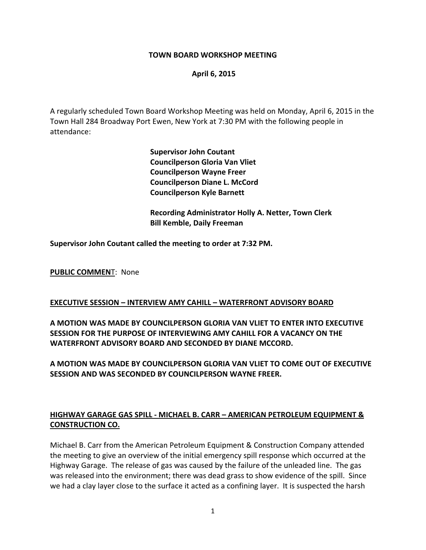### **TOWN BOARD WORKSHOP MEETING**

#### **April 6, 2015**

A regularly scheduled Town Board Workshop Meeting was held on Monday, April 6, 2015 in the Town Hall 284 Broadway Port Ewen, New York at 7:30 PM with the following people in attendance:

> **Supervisor John Coutant Councilperson Gloria Van Vliet Councilperson Wayne Freer Councilperson Diane L. McCord Councilperson Kyle Barnett**

 **Recording Administrator Holly A. Netter, Town Clerk Bill Kemble, Daily Freeman**

**Supervisor John Coutant called the meeting to order at 7:32 PM.**

**PUBLIC COMMEN**T: None

### **EXECUTIVE SESSION – INTERVIEW AMY CAHILL – WATERFRONT ADVISORY BOARD**

**A MOTION WAS MADE BY COUNCILPERSON GLORIA VAN VLIET TO ENTER INTO EXECUTIVE SESSION FOR THE PURPOSE OF INTERVIEWING AMY CAHILL FOR A VACANCY ON THE WATERFRONT ADVISORY BOARD AND SECONDED BY DIANE MCCORD.**

**A MOTION WAS MADE BY COUNCILPERSON GLORIA VAN VLIET TO COME OUT OF EXECUTIVE SESSION AND WAS SECONDED BY COUNCILPERSON WAYNE FREER.**

# **HIGHWAY GARAGE GAS SPILL ‐ MICHAEL B. CARR – AMERICAN PETROLEUM EQUIPMENT & CONSTRUCTION CO.**

Michael B. Carr from the American Petroleum Equipment & Construction Company attended the meeting to give an overview of the initial emergency spill response which occurred at the Highway Garage. The release of gas was caused by the failure of the unleaded line. The gas was released into the environment; there was dead grass to show evidence of the spill. Since we had a clay layer close to the surface it acted as a confining layer. It is suspected the harsh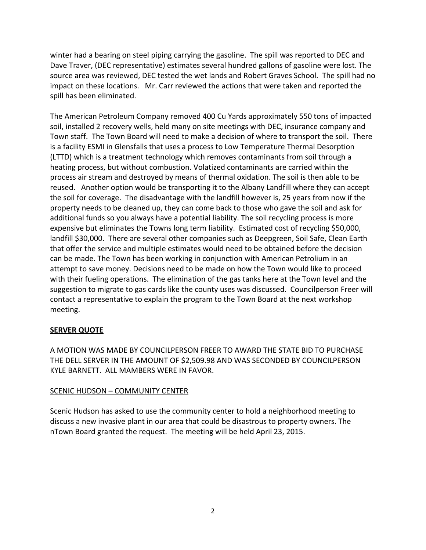winter had a bearing on steel piping carrying the gasoline. The spill was reported to DEC and Dave Traver, (DEC representative) estimates several hundred gallons of gasoline were lost. The source area was reviewed, DEC tested the wet lands and Robert Graves School. The spill had no impact on these locations. Mr. Carr reviewed the actions that were taken and reported the spill has been eliminated.

The American Petroleum Company removed 400 Cu Yards approximately 550 tons of impacted soil, installed 2 recovery wells, held many on site meetings with DEC, insurance company and Town staff. The Town Board will need to make a decision of where to transport the soil. There is a facility ESMI in Glensfalls that uses a process to Low Temperature Thermal Desorption (LTTD) which is a treatment technology which removes contaminants from soil through a heating process, but without combustion. Volatized contaminants are carried within the process air stream and destroyed by means of thermal oxidation. The soil is then able to be reused. Another option would be transporting it to the Albany Landfill where they can accept the soil for coverage. The disadvantage with the landfill however is, 25 years from now if the property needs to be cleaned up, they can come back to those who gave the soil and ask for additional funds so you always have a potential liability. The soil recycling process is more expensive but eliminates the Towns long term liability. Estimated cost of recycling \$50,000, landfill \$30,000. There are several other companies such as Deepgreen, Soil Safe, Clean Earth that offer the service and multiple estimates would need to be obtained before the decision can be made. The Town has been working in conjunction with American Petrolium in an attempt to save money. Decisions need to be made on how the Town would like to proceed with their fueling operations. The elimination of the gas tanks here at the Town level and the suggestion to migrate to gas cards like the county uses was discussed. Councilperson Freer will contact a representative to explain the program to the Town Board at the next workshop meeting.

## **SERVER QUOTE**

A MOTION WAS MADE BY COUNCILPERSON FREER TO AWARD THE STATE BID TO PURCHASE THE DELL SERVER IN THE AMOUNT OF \$2,509.98 AND WAS SECONDED BY COUNCILPERSON KYLE BARNETT. ALL MAMBERS WERE IN FAVOR.

## SCENIC HUDSON – COMMUNITY CENTER

Scenic Hudson has asked to use the community center to hold a neighborhood meeting to discuss a new invasive plant in our area that could be disastrous to property owners. The nTown Board granted the request. The meeting will be held April 23, 2015.